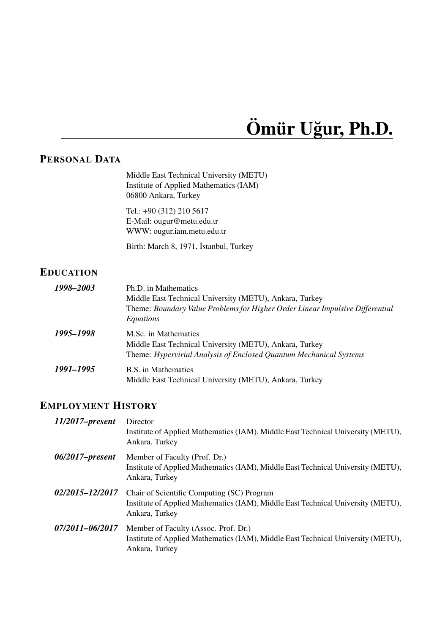# $\ddot{\textbf{O}}$  mür Uğur, Ph.D.

# **PERSONAL DATA**

Middle East Technical University (METU) Institute of Applied Mathematics (IAM) 06800 Ankara, Turkey

Tel.: +90 (312) 210 5617 E-Mail: ougur@metu.edu.tr WWW: ougur.iam.metu.edu.tr

Birth: March 8, 1971, İstanbul, Turkey

# **EDUCATION**

| 1998-2003 | Ph.D. in Mathematics                                                          |
|-----------|-------------------------------------------------------------------------------|
|           | Middle East Technical University (METU), Ankara, Turkey                       |
|           | Theme: Boundary Value Problems for Higher Order Linear Impulsive Differential |
|           | Equations                                                                     |
| 1995–1998 | M.Sc. in Mathematics                                                          |
|           | Middle East Technical University (METU), Ankara, Turkey                       |
|           | Theme: Hypervirial Analysis of Enclosed Quantum Mechanical Systems            |
| 1991–1995 | B.S. in Mathematics                                                           |
|           | Middle East Technical University (METU), Ankara, Turkey                       |

# **EMPLOYMENT HISTORY**

| $11/2017$ -present | Director<br>Institute of Applied Mathematics (IAM), Middle East Technical University (METU),<br>Ankara, Turkey                                   |
|--------------------|--------------------------------------------------------------------------------------------------------------------------------------------------|
| $06/2017$ -present | Member of Faculty (Prof. Dr.)<br>Institute of Applied Mathematics (IAM), Middle East Technical University (METU),<br>Ankara, Turkey              |
| 02/2015-12/2017    | Chair of Scientific Computing (SC) Program<br>Institute of Applied Mathematics (IAM), Middle East Technical University (METU),<br>Ankara, Turkey |
| 07/2011-06/2017    | Member of Faculty (Assoc. Prof. Dr.)<br>Institute of Applied Mathematics (IAM), Middle East Technical University (METU),<br>Ankara, Turkey       |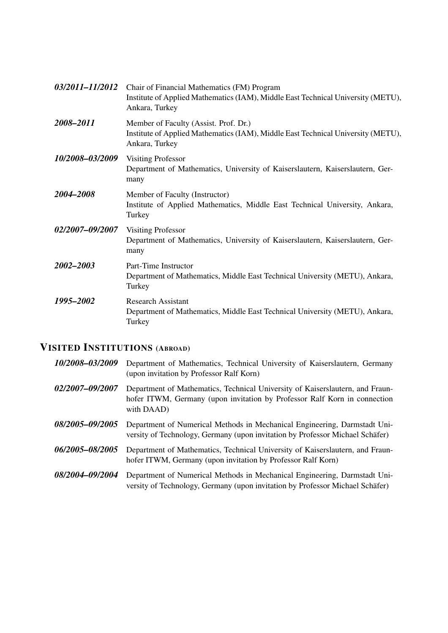| 03/2011-11/2012        | Chair of Financial Mathematics (FM) Program<br>Institute of Applied Mathematics (IAM), Middle East Technical University (METU),<br>Ankara, Turkey |
|------------------------|---------------------------------------------------------------------------------------------------------------------------------------------------|
| 2008-2011              | Member of Faculty (Assist. Prof. Dr.)<br>Institute of Applied Mathematics (IAM), Middle East Technical University (METU),<br>Ankara, Turkey       |
| 10/2008-03/2009        | <b>Visiting Professor</b><br>Department of Mathematics, University of Kaiserslautern, Kaiserslautern, Ger-<br>many                                |
| 2004–2008              | Member of Faculty (Instructor)<br>Institute of Applied Mathematics, Middle East Technical University, Ankara,<br>Turkey                           |
| <i>02/2007-09/2007</i> | <b>Visiting Professor</b><br>Department of Mathematics, University of Kaiserslautern, Kaiserslautern, Ger-<br>many                                |
| 2002-2003              | Part-Time Instructor<br>Department of Mathematics, Middle East Technical University (METU), Ankara,<br>Turkey                                     |
| 1995-2002              | <b>Research Assistant</b><br>Department of Mathematics, Middle East Technical University (METU), Ankara,<br>Turkey                                |

# **VISITED INSTITUTIONS (ABROAD)**

| 10/2008-03/2009 | Department of Mathematics, Technical University of Kaiserslautern, Germany<br>(upon invitation by Professor Ralf Korn)                                                   |
|-----------------|--------------------------------------------------------------------------------------------------------------------------------------------------------------------------|
| 02/2007-09/2007 | Department of Mathematics, Technical University of Kaiserslautern, and Fraun-<br>hofer ITWM, Germany (upon invitation by Professor Ralf Korn in connection<br>with DAAD) |
| 08/2005-09/2005 | Department of Numerical Methods in Mechanical Engineering, Darmstadt Uni-<br>versity of Technology, Germany (upon invitation by Professor Michael Schäfer)               |
| 06/2005-08/2005 | Department of Mathematics, Technical University of Kaiserslautern, and Fraun-<br>hofer ITWM, Germany (upon invitation by Professor Ralf Korn)                            |
| 08/2004-09/2004 | Department of Numerical Methods in Mechanical Engineering, Darmstadt Uni-<br>versity of Technology, Germany (upon invitation by Professor Michael Schäfer)               |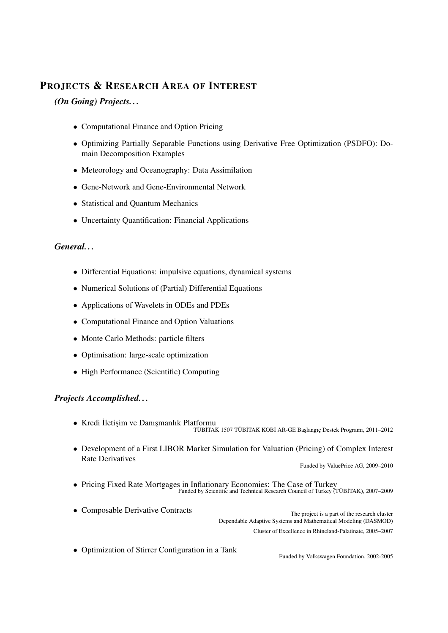# **PROJECTS & RESEARCH AREA OF INTEREST**

*(On Going) Projects. . .*

- Computational Finance and Option Pricing
- Optimizing Partially Separable Functions using Derivative Free Optimization (PSDFO): Domain Decomposition Examples
- Meteorology and Oceanography: Data Assimilation
- Gene-Network and Gene-Environmental Network
- Statistical and Quantum Mechanics
- Uncertainty Quantification: Financial Applications

#### *General. . .*

- Differential Equations: impulsive equations, dynamical systems
- Numerical Solutions of (Partial) Differential Equations
- Applications of Wavelets in ODEs and PDEs
- Computational Finance and Option Valuations
- Monte Carlo Methods: particle filters
- Optimisation: large-scale optimization
- High Performance (Scientific) Computing

#### *Projects Accomplished. . .*

- Kredi İletisim ve Danışmanlık Platformu TÜBİTAK 1507 TÜBİTAK KOBİ AR-GE Başlangıç Destek Programı, 2011–2012
- Development of a First LIBOR Market Simulation for Valuation (Pricing) of Complex Interest Rate Derivatives

```
Funded by ValuePrice AG, 2009–2010
```
- Pricing Fixed Rate Mortgages in Inflationary Economies: The Case of Turkey Funded by Scientific and Technical Research Council of Turkey (TÜBİTAK), 2007–2009
- Composable Derivative Contracts The project is a part of the research cluster Dependable Adaptive Systems and Mathematical Modeling (DASMOD) Cluster of Excellence in Rhineland-Palatinate, 2005–2007
- Optimization of Stirrer Configuration in a Tank

Funded by Volkswagen Foundation, 2002-2005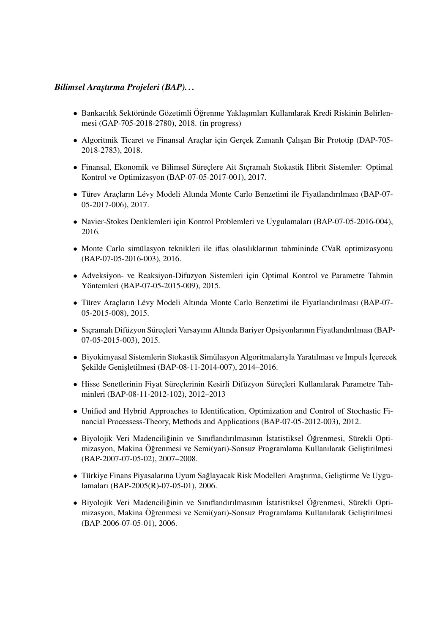#### *Bilimsel Arastırma Projeleri (BAP)...*

- Bankacılık Sektöründe Gözetimli Öğrenme Yaklasımları Kullanılarak Kredi Riskinin Belirlenmesi (GAP-705-2018-2780), 2018. (in progress)
- Algoritmik Ticaret ve Finansal Araclar icin Gercek Zamanlı Calısan Bir Prototip (DAP-705-2018-2783), 2018.
- Finansal, Ekonomik ve Bilimsel Süreçlere Ait Sıçramalı Stokastik Hibrit Sistemler: Optimal Kontrol ve Optimizasyon (BAP-07-05-2017-001), 2017.
- Türev Araçların Lévy Modeli Altında Monte Carlo Benzetimi ile Fiyatlandırılması (BAP-07-05-2017-006), 2017.
- Navier-Stokes Denklemleri için Kontrol Problemleri ve Uygulamaları (BAP-07-05-2016-004), 2016.
- Monte Carlo simülasyon teknikleri ile iflas olasılıklarının tahmininde CVaR optimizasyonu (BAP-07-05-2016-003), 2016.
- Adveksiyon- ve Reaksiyon-Difuzyon Sistemleri icin Optimal Kontrol ve Parametre Tahmin Yöntemleri (BAP-07-05-2015-009), 2015.
- Türev Araçların Lévy Modeli Altında Monte Carlo Benzetimi ile Fiyatlandırılması (BAP-07-05-2015-008), 2015.
- Sıçramalı Difüzyon Süreçleri Varsayımı Altında Bariyer Opsiyonlarının Fiyatlandırılması (BAP-07-05-2015-003), 2015.
- Biyokimyasal Sistemlerin Stokastik Simülasyon Algoritmalarıyla Yaratılması ve İmpuls İçerecek Sekilde Genisletilmesi (BAP-08-11-2014-007), 2014–2016.
- Hisse Senetlerinin Fiyat Süreclerinin Kesirli Difüzyon Sürecleri Kullanılarak Parametre Tahminleri (BAP-08-11-2012-102), 2012–2013
- Unified and Hybrid Approaches to Identification, Optimization and Control of Stochastic Financial Processess-Theory, Methods and Applications (BAP-07-05-2012-003), 2012.
- · Biyolojik Veri Madenciliğinin ve Sınıflandırılmasının İstatistiksel Öğrenmesi, Sürekli Optimizasyon, Makina Öğrenmesi ve Semi(yarı)-Sonsuz Programlama Kullanılarak Geliştirilmesi (BAP-2007-07-05-02), 2007–2008.
- Türkiye Finans Piyasalarına Uyum Sağlayacak Risk Modelleri Araştırma, Geliştirme Ve Uygulamaları (BAP-2005(R)-07-05-01), 2006.
- · Biyolojik Veri Madenciliğinin ve Sınıflandırılmasının İstatistiksel Öğrenmesi, Sürekli Optimizasyon, Makina Öğrenmesi ve Semi(yarı)-Sonsuz Programlama Kullanılarak Geliştirilmesi (BAP-2006-07-05-01), 2006.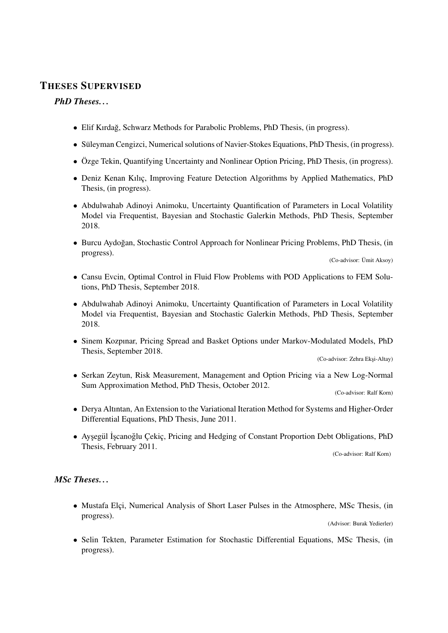## **THESES SUPERVISED**

#### *PhD Theses. . .*

- Elif Kırdağ, Schwarz Methods for Parabolic Problems, PhD Thesis, (in progress).
- Süleyman Cengizci, Numerical solutions of Navier-Stokes Equations, PhD Thesis, (in progress).
- Özge Tekin, Quantifying Uncertainty and Nonlinear Option Pricing, PhD Thesis, (in progress).
- Deniz Kenan Kılıc, Improving Feature Detection Algorithms by Applied Mathematics, PhD Thesis, (in progress).
- Abdulwahab Adinoyi Animoku, Uncertainty Quantification of Parameters in Local Volatility Model via Frequentist, Bayesian and Stochastic Galerkin Methods, PhD Thesis, September 2018.
- Burcu Aydoğan, Stochastic Control Approach for Nonlinear Pricing Problems, PhD Thesis, (in progress).

(Co-advisor: Umit Aksoy) ¨

- Cansu Evcin, Optimal Control in Fluid Flow Problems with POD Applications to FEM Solutions, PhD Thesis, September 2018.
- Abdulwahab Adinoyi Animoku, Uncertainty Quantification of Parameters in Local Volatility Model via Frequentist, Bayesian and Stochastic Galerkin Methods, PhD Thesis, September 2018.
- Sinem Kozpınar, Pricing Spread and Basket Options under Markov-Modulated Models, PhD Thesis, September 2018.

(Co-advisor: Zehra Eksi-Altay)

• Serkan Zeytun, Risk Measurement, Management and Option Pricing via a New Log-Normal Sum Approximation Method, PhD Thesis, October 2012.

(Co-advisor: Ralf Korn)

- Derya Altıntan, An Extension to the Variational Iteration Method for Systems and Higher-Order Differential Equations, PhD Thesis, June 2011.
- · Ayşegül İşcanoğlu Çekiç, Pricing and Hedging of Constant Proportion Debt Obligations, PhD Thesis, February 2011.

(Co-advisor: Ralf Korn)

#### *MSc Theses. . .*

• Mustafa Elçi, Numerical Analysis of Short Laser Pulses in the Atmosphere, MSc Thesis, (in progress). (Advisor: Burak Yedierler)

• Selin Tekten, Parameter Estimation for Stochastic Differential Equations, MSc Thesis, (in progress).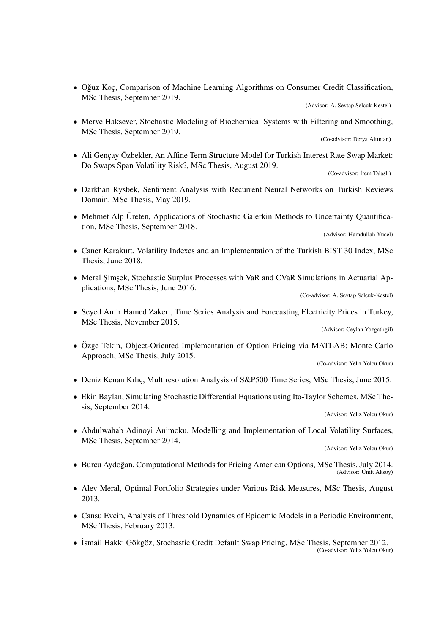• Oğuz Koc, Comparison of Machine Learning Algorithms on Consumer Credit Classification, MSc Thesis, September 2019.

(Advisor: A. Sevtap Selçuk-Kestel)

• Merve Haksever, Stochastic Modeling of Biochemical Systems with Filtering and Smoothing, MSc Thesis, September 2019.

(Co-advisor: Derya Altıntan)

• Ali Gencay Özbekler, An Affine Term Structure Model for Turkish Interest Rate Swap Market: Do Swaps Span Volatility Risk?, MSc Thesis, August 2019.

(Co-advisor: İrem Talaslı)

- Darkhan Rysbek, Sentiment Analysis with Recurrent Neural Networks on Turkish Reviews Domain, MSc Thesis, May 2019.
- Mehmet Alp Üreten, Applications of Stochastic Galerkin Methods to Uncertainty Quantification, MSc Thesis, September 2018.

(Advisor: Hamdullah Yücel)

- Caner Karakurt, Volatility Indexes and an Implementation of the Turkish BIST 30 Index, MSc Thesis, June 2018.
- Meral Simsek, Stochastic Surplus Processes with VaR and CVaR Simulations in Actuarial Applications, MSc Thesis, June 2016.

(Co-advisor: A. Sevtap Selçuk-Kestel)

• Seyed Amir Hamed Zakeri, Time Series Analysis and Forecasting Electricity Prices in Turkey, MSc Thesis, November 2015.

(Advisor: Ceylan Yozgatlıgil)

• Özge Tekin, Object-Oriented Implementation of Option Pricing via MATLAB: Monte Carlo Approach, MSc Thesis, July 2015.

(Co-advisor: Yeliz Yolcu Okur)

- Deniz Kenan Kılıc, Multiresolution Analysis of S&P500 Time Series, MSc Thesis, June 2015.
- Ekin Baylan, Simulating Stochastic Differential Equations using Ito-Taylor Schemes, MSc Thesis, September 2014.

(Advisor: Yeliz Yolcu Okur)

• Abdulwahab Adinoyi Animoku, Modelling and Implementation of Local Volatility Surfaces, MSc Thesis, September 2014.

(Advisor: Yeliz Yolcu Okur)

- Burcu Aydoğan, Computational Methods for Pricing American Options, MSc Thesis, July 2014. (Advisor: Ümit Aksoy)
- Alev Meral, Optimal Portfolio Strategies under Various Risk Measures, MSc Thesis, August 2013.
- Cansu Evcin, Analysis of Threshold Dynamics of Epidemic Models in a Periodic Environment, MSc Thesis, February 2013.
- İsmail Hakkı Gökgöz, Stochastic Credit Default Swap Pricing, MSc Thesis, September 2012. (Co-advisor: Yeliz Yolcu Okur)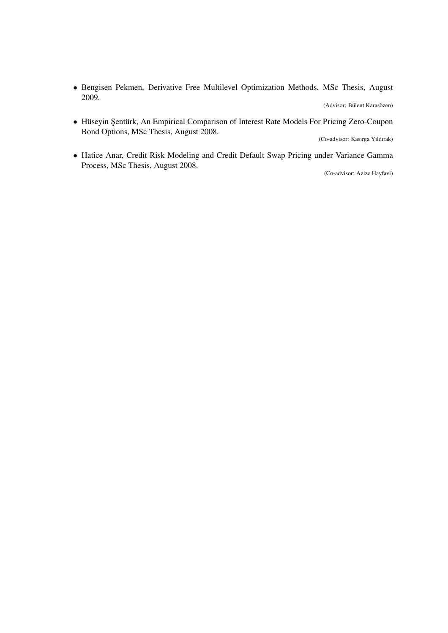• Bengisen Pekmen, Derivative Free Multilevel Optimization Methods, MSc Thesis, August 2009.

(Advisor: Bülent Karasözen)

• Hüseyin Şentürk, An Empirical Comparison of Interest Rate Models For Pricing Zero-Coupon Bond Options, MSc Thesis, August 2008.

(Co-advisor: Kasırga Yıldırak)

• Hatice Anar, Credit Risk Modeling and Credit Default Swap Pricing under Variance Gamma Process, MSc Thesis, August 2008.

(Co-advisor: Azize Hayfavi)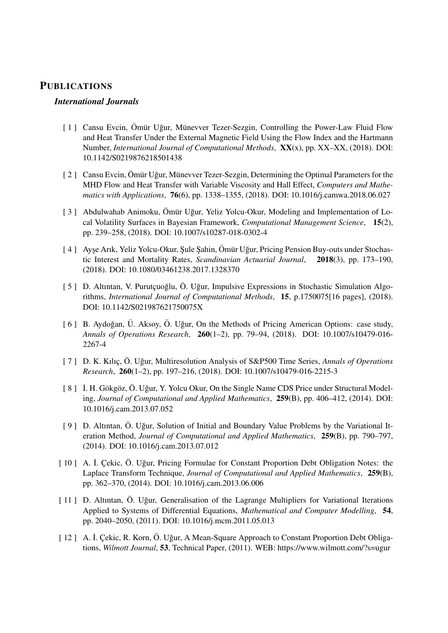#### **PUBLICATIONS**

#### *International Journals*

- [ 1 ] Cansu Evcin, Ömür Uğur, Münevver Tezer-Sezgin, Controlling the Power-Law Fluid Flow and Heat Transfer Under the External Magnetic Field Using the Flow Index and the Hartmann Number, *International Journal of Computational Methods*, **XX**(x), pp. XX–XX, (2018). DOI: 10.1142/S0219876218501438
- [ 2 ] Cansu Evcin, Ömür Uğur, Münevver Tezer-Sezgin, Determining the Optimal Parameters for the MHD Flow and Heat Transfer with Variable Viscosity and Hall Effect, *Computers and Mathematics with Applications*, **76**(6), pp. 1338–1355, (2018). DOI: 10.1016/j.camwa.2018.06.027
- [ 3 ] Abdulwahab Animoku, Ömür Uğur, Yeliz Yolcu-Okur, Modeling and Implementation of Local Volatility Surfaces in Bayesian Framework, *Computational Management Science*, **15**(2), pp. 239–258, (2018). DOI: 10.1007/s10287-018-0302-4
- [4] Ayse Arık, Yeliz Yolcu-Okur, Şule Şahin, Ömür Uğur, Pricing Pension Buy-outs under Stochastic Interest and Mortality Rates, *Scandinavian Actuarial Journal*, **2018**(3), pp. 173–190, (2018). DOI: 10.1080/03461238.2017.1328370
- [ 5 ] D. Altıntan, V. Purutcuoğlu, Ö. Uğur, Impulsive Expressions in Stochastic Simulation Algorithms, *International Journal of Computational Methods*, **15**, p.1750075[16 pages], (2018). DOI: 10.1142/S021987621750075X
- [ 6 ] B. Aydoğan, Ü. Aksoy, Ö. Uğur, On the Methods of Pricing American Options: case study, *Annals of Operations Research*, **260**(1–2), pp. 79–94, (2018). DOI: 10.1007/s10479-016- 2267-4
- [ 7 ] D. K. Kılıç, Ö. Uğur, Multiresolution Analysis of S&P500 Time Series, Annals of Operations *Research*, **260**(1–2), pp. 197–216, (2018). DOI: 10.1007/s10479-016-2215-3
- [ 8 ] İ. H. Gökgöz, Ö. Uğur, Y. Yolcu Okur, On the Single Name CDS Price under Structural Modeling, *Journal of Computational and Applied Mathematics*, **259**(B), pp. 406–412, (2014). DOI: 10.1016/j.cam.2013.07.052
- [ 9 ] D. Altıntan, Ö. Uğur, Solution of Initial and Boundary Value Problems by the Variational Iteration Method, *Journal of Computational and Applied Mathematics*, **259**(B), pp. 790–797, (2014). DOI: 10.1016/j.cam.2013.07.012
- [ 10 ] A. İ. Çekic, Ö. Uğur, Pricing Formulae for Constant Proportion Debt Obligation Notes: the Laplace Transform Technique, *Journal of Computational and Applied Mathematics*, **259**(B), pp. 362–370, (2014). DOI: 10.1016/j.cam.2013.06.006
- [ 11 ] D. Altıntan, Ö. Uğur, Generalisation of the Lagrange Multipliers for Variational Iterations Applied to Systems of Differential Equations, *Mathematical and Computer Modelling*, **54**, pp. 2040–2050, (2011). DOI: 10.1016/j.mcm.2011.05.013
- [ 12 ] A. İ. Çekic, R. Korn, Ö. Uğur, A Mean-Square Approach to Constant Proportion Debt Obligations, *Wilmott Journal*, **53**, Technical Paper, (2011). WEB: https://www.wilmott.com/?s=ugur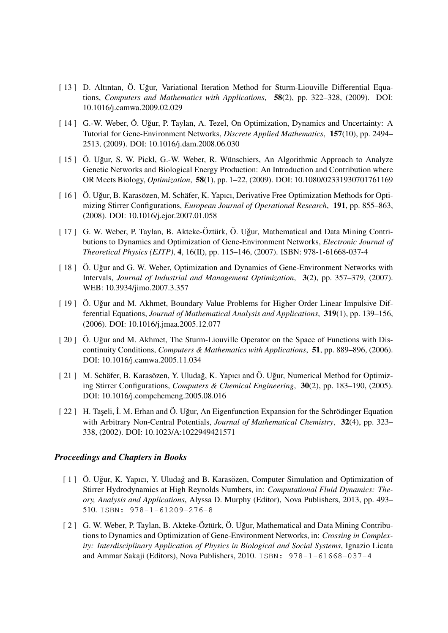- [ 13 ] D. Altıntan, Ö. Uğur, Variational Iteration Method for Sturm-Liouville Differential Equations, *Computers and Mathematics with Applications*, **58**(2), pp. 322–328, (2009). DOI: 10.1016/j.camwa.2009.02.029
- [ 14 ] G.-W. Weber, Ö. Uğur, P. Taylan, A. Tezel, On Optimization, Dynamics and Uncertainty: A Tutorial for Gene-Environment Networks, *Discrete Applied Mathematics*, **157**(10), pp. 2494– 2513, (2009). DOI: 10.1016/j.dam.2008.06.030
- [ 15 ] Ö. Uğur, S. W. Pickl, G.-W. Weber, R. Wünschiers, An Algorithmic Approach to Analyze Genetic Networks and Biological Energy Production: An Introduction and Contribution where OR Meets Biology, *Optimization*, **58**(1), pp. 1–22, (2009). DOI: 10.1080/02331930701761169
- [ 16 ] Ö. Uğur, B. Karasözen, M. Schäfer, K. Yapıcı, Derivative Free Optimization Methods for Optimizing Stirrer Configurations, *European Journal of Operational Research*, **191**, pp. 855–863, (2008). DOI: 10.1016/j.ejor.2007.01.058
- [ 17 ] G. W. Weber, P. Taylan, B. Akteke-Öztürk, Ö. Uğur, Mathematical and Data Mining Contributions to Dynamics and Optimization of Gene-Environment Networks, *Electronic Journal of Theoretical Physics (EJTP)*, **4**, 16(II), pp. 115–146, (2007). ISBN: 978-1-61668-037-4
- [ 18 ]  $\ddot{\text{O}}$ . Uğur and G. W. Weber, Optimization and Dynamics of Gene-Environment Networks with Intervals, *Journal of Industrial and Management Optimization*, **3**(2), pp. 357–379, (2007). WEB: 10.3934/jimo.2007.3.357
- $[19]$   $\ddot{\text{O}}$ . Uğur and M. Akhmet, Boundary Value Problems for Higher Order Linear Impulsive Differential Equations, *Journal of Mathematical Analysis and Applications*, **319**(1), pp. 139–156, (2006). DOI: 10.1016/j.jmaa.2005.12.077
- [ 20 ]  $\ddot{\text{O}}$ . Uğur and M. Akhmet, The Sturm-Liouville Operator on the Space of Functions with Discontinuity Conditions, *Computers & Mathematics with Applications*, **51**, pp. 889–896, (2006). DOI: 10.1016/j.camwa.2005.11.034
- [ 21 ] M. Schäfer, B. Karasözen, Y. Uludağ, K. Yapıcı and Ö. Uğur, Numerical Method for Optimizing Stirrer Configurations, *Computers & Chemical Engineering*, **30**(2), pp. 183–190, (2005). DOI: 10.1016/j.compchemeng.2005.08.016
- $[22]$  H. Taseli, İ. M. Erhan and Ö. Uğur, An Eigenfunction Expansion for the Schrödinger Equation with Arbitrary Non-Central Potentials, *Journal of Mathematical Chemistry*, **32**(4), pp. 323– 338, (2002). DOI: 10.1023/A:1022949421571

#### *Proceedings and Chapters in Books*

- [ 1 ]  $\ddot{\text{O}}$ . Uğur, K. Yapıcı, Y. Uludağ and B. Karasözen, Computer Simulation and Optimization of Stirrer Hydrodynamics at High Reynolds Numbers, in: *Computational Fluid Dynamics: Theory, Analysis and Applications*, Alyssa D. Murphy (Editor), Nova Publishers, 2013, pp. 493– 510. ISBN: 978-1-61209-276-8
- $\lceil 2 \rceil$  G. W. Weber, P. Taylan, B. Akteke-Öztürk, Ö. Uğur, Mathematical and Data Mining Contributions to Dynamics and Optimization of Gene-Environment Networks, in: *Crossing in Complexity: Interdisciplinary Application of Physics in Biological and Social Systems*, Ignazio Licata and Ammar Sakaji (Editors), Nova Publishers, 2010. ISBN: 978-1-61668-037-4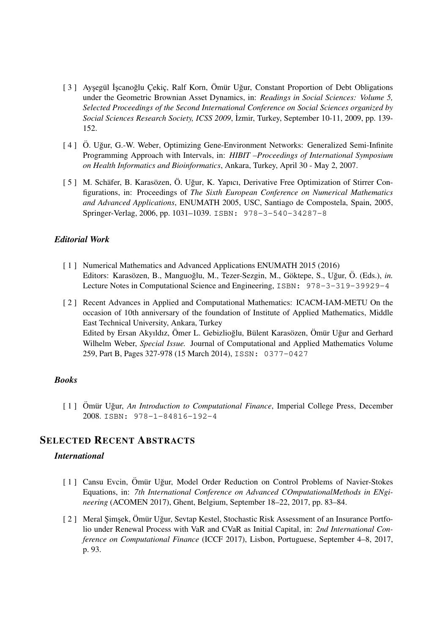- [3] Ayşegül İşcanoğlu Çekiç, Ralf Korn, Ömür Uğur, Constant Proportion of Debt Obligations under the Geometric Brownian Asset Dynamics, in: *Readings in Social Sciences: Volume 5, Selected Proceedings of the Second International Conference on Social Sciences organized by* Social Sciences Research Society, ICSS 2009, İzmir, Turkey, September 10-11, 2009, pp. 139-152.
- [4] Ö. Uğur, G.-W. Weber, Optimizing Gene-Environment Networks: Generalized Semi-Infinite Programming Approach with Intervals, in: *HIBIT –Proceedings of International Symposium on Health Informatics and Bioinformatics*, Ankara, Turkey, April 30 - May 2, 2007.
- [ 5 ] M. Schäfer, B. Karasözen, Ö. Uğur, K. Yapıcı, Derivative Free Optimization of Stirrer Configurations, in: Proceedings of *The Sixth European Conference on Numerical Mathematics and Advanced Applications*, ENUMATH 2005, USC, Santiago de Compostela, Spain, 2005, Springer-Verlag, 2006, pp. 1031–1039. ISBN: 978-3-540-34287-8

#### *Editorial Work*

- [ 1 ] Numerical Mathematics and Advanced Applications ENUMATH 2015 (2016) Editors: Karasözen, B., Manguoğlu, M., Tezer-Sezgin, M., Göktepe, S., Uğur, Ö. (Eds.), *in.* Lecture Notes in Computational Science and Engineering, ISBN: 978-3-319-39929-4
- [ 2 ] Recent Advances in Applied and Computational Mathematics: ICACM-IAM-METU On the occasion of 10th anniversary of the foundation of Institute of Applied Mathematics, Middle East Technical University, Ankara, Turkey Edited by Ersan Akyıldız, Ömer L. Gebizlioğlu, Bülent Karasözen, Ömür Uğur and Gerhard Wilhelm Weber, *Special Issue.* Journal of Computational and Applied Mathematics Volume 259, Part B, Pages 327-978 (15 March 2014), ISSN: 0377-0427

#### *Books*

[ 1 ] Ömür Uğur, *An Introduction to Computational Finance*, Imperial College Press, December 2008. ISBN: 978-1-84816-192-4

#### **SELECTED RECENT ABSTRACTS**

#### *International*

- [ 1 ] Cansu Evcin, Ömür Uğur, Model Order Reduction on Control Problems of Navier-Stokes Equations, in: *7th International Conference on Advanced COmputationalMethods in ENgineering* (ACOMEN 2017), Ghent, Belgium, September 18–22, 2017, pp. 83–84.
- [ 2 ] Meral Şimşek, Ömür Uğur, Sevtap Kestel, Stochastic Risk Assessment of an Insurance Portfolio under Renewal Process with VaR and CVaR as Initial Capital, in: *2nd International Conference on Computational Finance* (ICCF 2017), Lisbon, Portuguese, September 4–8, 2017, p. 93.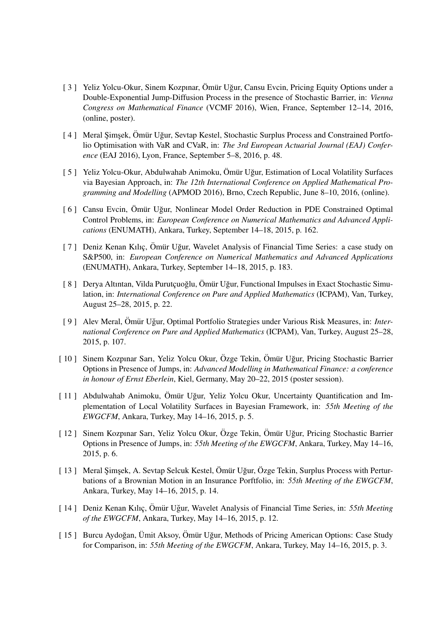- [ 3 ] Yeliz Yolcu-Okur, Sinem Kozpınar, Ömür Uğur, Cansu Evcin, Pricing Equity Options under a Double-Exponential Jump-Diffusion Process in the presence of Stochastic Barrier, in: *Vienna Congress on Mathematical Finance* (VCMF 2016), Wien, France, September 12–14, 2016, (online, poster).
- [4] Meral Şimşek, Ömür Uğur, Sevtap Kestel, Stochastic Surplus Process and Constrained Portfolio Optimisation with VaR and CVaR, in: *The 3rd European Actuarial Journal (EAJ) Conference* (EAJ 2016), Lyon, France, September 5–8, 2016, p. 48.
- [ 5 ] Yeliz Yolcu-Okur, Abdulwahab Animoku, Ömür Uğur, Estimation of Local Volatility Surfaces via Bayesian Approach, in: *The 12th International Conference on Applied Mathematical Programming and Modelling* (APMOD 2016), Brno, Czech Republic, June 8–10, 2016, (online).
- [ 6 ] Cansu Evcin, Ömür Uğur, Nonlinear Model Order Reduction in PDE Constrained Optimal Control Problems, in: *European Conference on Numerical Mathematics and Advanced Applications* (ENUMATH), Ankara, Turkey, September 14–18, 2015, p. 162.
- [7] Deniz Kenan Kılıç, Ömür Uğur, Wavelet Analysis of Financial Time Series: a case study on S&P500, in: *European Conference on Numerical Mathematics and Advanced Applications* (ENUMATH), Ankara, Turkey, September 14–18, 2015, p. 183.
- [ 8 ] Derya Altıntan, Vilda Purutcuoğlu, Ömür Uğur, Functional Impulses in Exact Stochastic Simulation, in: *International Conference on Pure and Applied Mathematics* (ICPAM), Van, Turkey, August 25–28, 2015, p. 22.
- [9] Alev Meral, Ömür Uğur, Optimal Portfolio Strategies under Various Risk Measures, in: *International Conference on Pure and Applied Mathematics* (ICPAM), Van, Turkey, August 25–28, 2015, p. 107.
- [ 10 ] Sinem Kozpınar Sarı, Yeliz Yolcu Okur, Özge Tekin, Ömür Uğur, Pricing Stochastic Barrier Options in Presence of Jumps, in: *Advanced Modelling in Mathematical Finance: a conference in honour of Ernst Eberlein*, Kiel, Germany, May 20–22, 2015 (poster session).
- [ 11 ] Abdulwahab Animoku, Ömür Uğur, Yeliz Yolcu Okur, Uncertainty Quantification and Implementation of Local Volatility Surfaces in Bayesian Framework, in: *55th Meeting of the EWGCFM*, Ankara, Turkey, May 14–16, 2015, p. 5.
- [ 12 ] Sinem Kozpınar Sarı, Yeliz Yolcu Okur, Özge Tekin, Ömür Uğur, Pricing Stochastic Barrier Options in Presence of Jumps, in: *55th Meeting of the EWGCFM*, Ankara, Turkey, May 14–16, 2015, p. 6.
- [ 13 ] Meral Şimşek, A. Sevtap Selcuk Kestel, Ömür Uğur, Özge Tekin, Surplus Process with Perturbations of a Brownian Motion in an Insurance Porftfolio, in: *55th Meeting of the EWGCFM*, Ankara, Turkey, May 14–16, 2015, p. 14.
- [ 14 ] Deniz Kenan Kılıç, Ömür Uğur, Wavelet Analysis of Financial Time Series, in: 55th Meeting *of the EWGCFM*, Ankara, Turkey, May 14–16, 2015, p. 12.
- [ 15 ] Burcu Aydoğan, Ümit Aksoy, Ömür Uğur, Methods of Pricing American Options: Case Study for Comparison, in: *55th Meeting of the EWGCFM*, Ankara, Turkey, May 14–16, 2015, p. 3.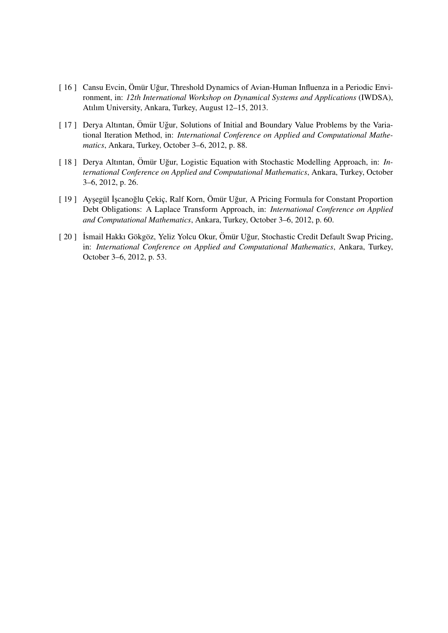- [ 16 ] Cansu Evcin, Ömür Uğur, Threshold Dynamics of Avian-Human Influenza in a Periodic Environment, in: *12th International Workshop on Dynamical Systems and Applications* (IWDSA), Atılım University, Ankara, Turkey, August 12–15, 2013.
- [ 17 ] Derya Altıntan, Ömür Uğur, Solutions of Initial and Boundary Value Problems by the Variational Iteration Method, in: *International Conference on Applied and Computational Mathematics*, Ankara, Turkey, October 3–6, 2012, p. 88.
- [ 18 ] Derya Altıntan, Ömür Uğur, Logistic Equation with Stochastic Modelling Approach, in: *International Conference on Applied and Computational Mathematics*, Ankara, Turkey, October 3–6, 2012, p. 26.
- [ 19 ] Ayşegül İşcanoğlu Çekiç, Ralf Korn, Ömür Uğur, A Pricing Formula for Constant Proportion Debt Obligations: A Laplace Transform Approach, in: *International Conference on Applied and Computational Mathematics*, Ankara, Turkey, October 3–6, 2012, p. 60.
- [ 20 ] İsmail Hakkı Gökgöz, Yeliz Yolcu Okur, Ömür Uğur, Stochastic Credit Default Swap Pricing, in: *International Conference on Applied and Computational Mathematics*, Ankara, Turkey, October 3–6, 2012, p. 53.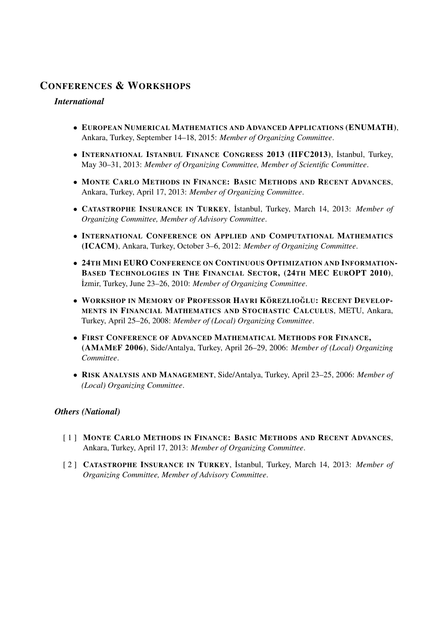# **CONFERENCES & WORKSHOPS**

#### *International*

- **EUROPEAN NUMERICAL MATHEMATICS AND ADVANCED APPLICATIONS (ENUMATH)**, Ankara, Turkey, September 14–18, 2015: *Member of Organizing Committee*.
- **INTERNATIONAL ISTANBUL FINANCE CONGRESS 2013 (IIFC2013)**, ˙Istanbul, Turkey, May 30–31, 2013: *Member of Organizing Committee, Member of Scientific Committee*.
- **MONTE CARLO METHODS IN FINANCE: BASIC METHODS AND RECENT ADVANCES**, Ankara, Turkey, April 17, 2013: *Member of Organizing Committee*.
- **CATASTROPHE INSURANCE IN TURKEY**, ˙Istanbul, Turkey, March 14, 2013: *Member of Organizing Committee, Member of Advisory Committee*.
- **INTERNATIONAL CONFERENCE ON APPLIED AND COMPUTATIONAL MATHEMATICS (ICACM)**, Ankara, Turkey, October 3–6, 2012: *Member of Organizing Committee*.
- **24TH MINI EURO CONFERENCE ON CONTINUOUS OPTIMIZATION AND INFORMATION-BASED TECHNOLOGIES IN THE FINANCIAL SECTOR, (24TH MEC EUROPT 2010)**, ˙Izmir, Turkey, June 23–26, 2010: *Member of Organizing Committee*.
- **WORKSHOP IN MEMORY OF PROFESSOR HAYRI KOREZLIO ¨ GLU ˘ : RECENT DEVELOP-MENTS IN FINANCIAL MATHEMATICS AND STOCHASTIC CALCULUS**, METU, Ankara, Turkey, April 25–26, 2008: *Member of (Local) Organizing Committee*.
- **FIRST CONFERENCE OF ADVANCED MATHEMATICAL METHODS FOR FINANCE, (AMAMEF 2006)**, Side/Antalya, Turkey, April 26–29, 2006: *Member of (Local) Organizing Committee*.
- **RISK ANALYSIS AND MANAGEMENT**, Side/Antalya, Turkey, April 23–25, 2006: *Member of (Local) Organizing Committee*.

#### *Others (National)*

- [ 1 ] **MONTE CARLO METHODS IN FINANCE: BASIC METHODS AND RECENT ADVANCES**, Ankara, Turkey, April 17, 2013: *Member of Organizing Committee*.
- [ 2 ] **CATASTROPHE INSURANCE IN TURKEY**, ˙Istanbul, Turkey, March 14, 2013: *Member of Organizing Committee, Member of Advisory Committee*.